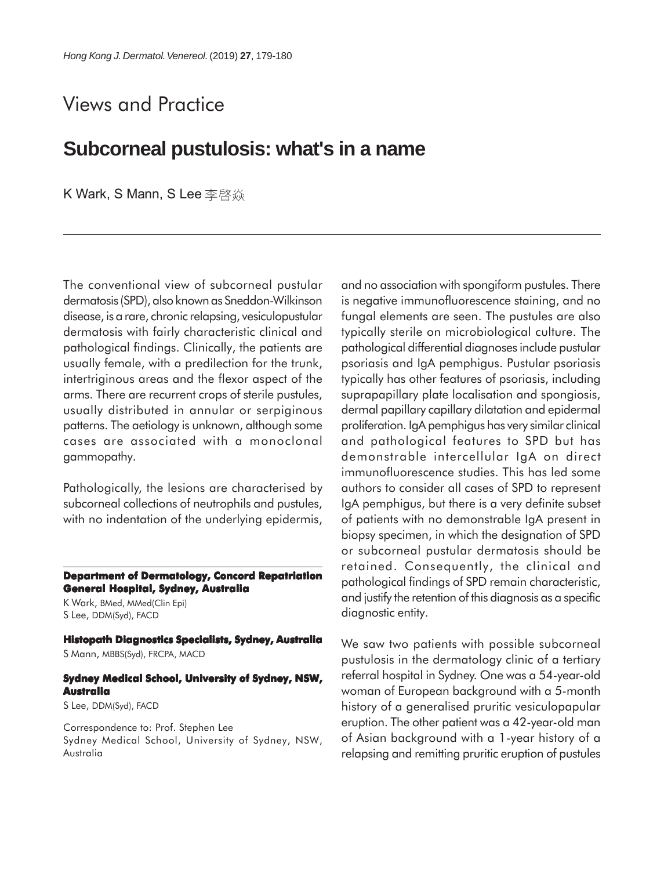## Views and Practice

## **Subcorneal pustulosis: what's in a name**

K Wark, S Mann, S Lee 李啓焱

The conventional view of subcorneal pustular dermatosis (SPD), also known as Sneddon-Wilkinson disease, is a rare, chronic relapsing, vesiculopustular dermatosis with fairly characteristic clinical and pathological findings. Clinically, the patients are usually female, with a predilection for the trunk, intertriginous areas and the flexor aspect of the arms. There are recurrent crops of sterile pustules, usually distributed in annular or serpiginous patterns. The aetiology is unknown, although some cases are associated with a monoclonal gammopathy.

Pathologically, the lesions are characterised by subcorneal collections of neutrophils and pustules, with no indentation of the underlying epidermis,

**Department of Dermatology, Concord Repatriation General Hospital, Sydney, Australia**

K Wark, BMed, MMed(Clin Epi) S Lee, DDM(Syd), FACD

**Histopath Diagnostics Specialists, Sydney, Australia** S Mann, MBBS(Syd), FRCPA, MACD

## **Sydney Medical School, University of Sydney, NSW, Australia**

S Lee, DDM(Syd), FACD

Correspondence to: Prof. Stephen Lee Sydney Medical School, University of Sydney, NSW, Australia

and no association with spongiform pustules. There is negative immunofluorescence staining, and no fungal elements are seen. The pustules are also typically sterile on microbiological culture. The pathological differential diagnoses include pustular psoriasis and IgA pemphigus. Pustular psoriasis typically has other features of psoriasis, including suprapapillary plate localisation and spongiosis, dermal papillary capillary dilatation and epidermal proliferation. IgA pemphigus has very similar clinical and pathological features to SPD but has demonstrable intercellular IgA on direct immunofluorescence studies. This has led some authors to consider all cases of SPD to represent IgA pemphigus, but there is a very definite subset of patients with no demonstrable IgA present in biopsy specimen, in which the designation of SPD or subcorneal pustular dermatosis should be retained. Consequently, the clinical and pathological findings of SPD remain characteristic, and justify the retention of this diagnosis as a specific diagnostic entity.

We saw two patients with possible subcorneal pustulosis in the dermatology clinic of a tertiary referral hospital in Sydney. One was a 54-year-old woman of European background with a 5-month history of a generalised pruritic vesiculopapular eruption. The other patient was a 42-year-old man of Asian background with a 1-year history of a relapsing and remitting pruritic eruption of pustules